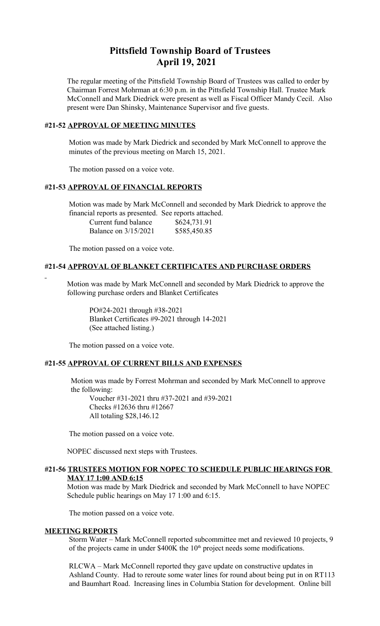# **Pittsfield Township Board of Trustees April 19, 2021**

The regular meeting of the Pittsfield Township Board of Trustees was called to order by Chairman Forrest Mohrman at 6:30 p.m. in the Pittsfield Township Hall. Trustee Mark McConnell and Mark Diedrick were present as well as Fiscal Officer Mandy Cecil. Also present were Dan Shinsky, Maintenance Supervisor and five guests.

## **#21-52 APPROVAL OF MEETING MINUTES**

 Motion was made by Mark Diedrick and seconded by Mark McConnell to approve the minutes of the previous meeting on March 15, 2021.

The motion passed on a voice vote.

## **#21-53 APPROVAL OF FINANCIAL REPORTS**

 Motion was made by Mark McConnell and seconded by Mark Diedrick to approve the financial reports as presented. See reports attached.

| Current fund balance | \$624,731.91 |
|----------------------|--------------|
| Balance on 3/15/2021 | \$585,450.85 |

The motion passed on a voice vote.

## **#21-54 APPROVAL OF BLANKET CERTIFICATES AND PURCHASE ORDERS**

 Motion was made by Mark McConnell and seconded by Mark Diedrick to approve the following purchase orders and Blanket Certificates

PO#24-2021 through #38-2021 Blanket Certificates #9-2021 through 14-2021 (See attached listing.)

The motion passed on a voice vote.

## **#21-55 APPROVAL OF CURRENT BILLS AND EXPENSES**

 Motion was made by Forrest Mohrman and seconded by Mark McConnell to approve the following:

Voucher #31-2021 thru #37-2021 and #39-2021 Checks #12636 thru #12667 All totaling \$28,146.12

The motion passed on a voice vote.

NOPEC discussed next steps with Trustees.

#### **#21-56 TRUSTEES MOTION FOR NOPEC TO SCHEDULE PUBLIC HEARINGS FOR MAY 17 1:00 AND 6:15**

Motion was made by Mark Diedrick and seconded by Mark McConnell to have NOPEC Schedule public hearings on May 17 1:00 and 6:15.

The motion passed on a voice vote.

## **MEETING REPORTS**

Storm Water – Mark McConnell reported subcommittee met and reviewed 10 projects, 9 of the projects came in under  $$400K$  the  $10<sup>th</sup>$  project needs some modifications.

RLCWA – Mark McConnell reported they gave update on constructive updates in Ashland County. Had to reroute some water lines for round about being put in on RT113 and Baumhart Road. Increasing lines in Columbia Station for development. Online bill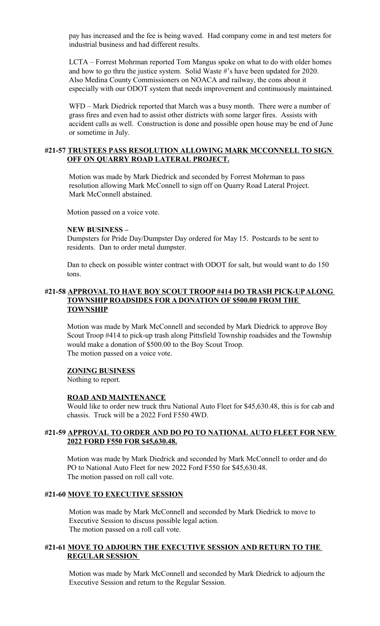pay has increased and the fee is being waved. Had company come in and test meters for industrial business and had different results.

LCTA – Forrest Mohrman reported Tom Mangus spoke on what to do with older homes and how to go thru the justice system. Solid Waste #'s have been updated for 2020. Also Medina County Commissioners on NOACA and railway, the cons about it especially with our ODOT system that needs improvement and continuously maintained.

WFD – Mark Diedrick reported that March was a busy month. There were a number of grass fires and even had to assist other districts with some larger fires. Assists with accident calls as well. Construction is done and possible open house may be end of June or sometime in July.

## **#21-57 TRUSTEES PASS RESOLUTION ALLOWING MARK MCCONNELL TO SIGN OFF ON QUARRY ROAD LATERAL PROJECT.**

Motion was made by Mark Diedrick and seconded by Forrest Mohrman to pass resolution allowing Mark McConnell to sign off on Quarry Road Lateral Project. Mark McConnell abstained.

Motion passed on a voice vote.

#### **NEW BUSINESS –**

Dumpsters for Pride Day/Dumpster Day ordered for May 15. Postcards to be sent to residents. Dan to order metal dumpster.

Dan to check on possible winter contract with ODOT for salt, but would want to do 150 tons.

## **#21-58 APPROVAL TO HAVE BOY SCOUT TROOP #414 DO TRASH PICK-UP ALONG TOWNSHIP ROADSIDES FOR A DONATION OF \$500.00 FROM THE TOWNSHIP**

Motion was made by Mark McConnell and seconded by Mark Diedrick to approve Boy Scout Troop #414 to pick-up trash along Pittsfield Township roadsides and the Township would make a donation of \$500.00 to the Boy Scout Troop. The motion passed on a voice vote.

#### **ZONING BUSINESS**

Nothing to report.

#### **ROAD AND MAINTENANCE**

Would like to order new truck thru National Auto Fleet for \$45,630.48, this is for cab and chassis. Truck will be a 2022 Ford F550 4WD.

## **#21-59 APPROVAL TO ORDER AND DO PO TO NATIONAL AUTO FLEET FOR NEW 2022 FORD F550 FOR \$45,630.48.**

 Motion was made by Mark Diedrick and seconded by Mark McConnell to order and do PO to National Auto Fleet for new 2022 Ford F550 for \$45,630.48. The motion passed on roll call vote.

#### **#21-60 MOVE TO EXECUTIVE SESSION**

 Motion was made by Mark McConnell and seconded by Mark Diedrick to move to Executive Session to discuss possible legal action. The motion passed on a roll call vote.

## **#21-61 MOVE TO ADJOURN THE EXECUTIVE SESSION AND RETURN TO THE REGULAR SESSION**

 Motion was made by Mark McConnell and seconded by Mark Diedrick to adjourn the Executive Session and return to the Regular Session.